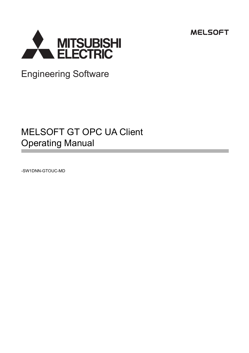



Engineering Software

# MELSOFT GT OPC UA Client Operating Manual

-SW1DNN-GTOUC-MD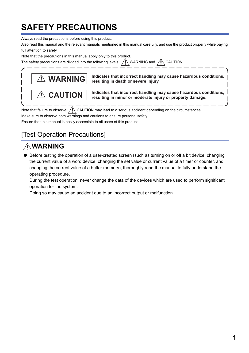# <span id="page-2-0"></span>**SAFETY PRECAUTIONS**

Always read the precautions before using this product.

Also read this manual and the relevant manuals mentioned in this manual carefully, and use the product properly while paying full attention to safety.

Note that the precautions in this manual apply only to this product.

The safety precautions are divided into the following levels:  $\bigwedge^2$  WARNING and  $\bigwedge^2$  CAUTION.



**Indicates that incorrect handling may cause hazardous conditions, resulting in death or severe injury.**

**Indicates that incorrect handling may cause hazardous conditions, resulting in minor or moderate injury or property damage.**

Note that failure to observe  $\sqrt{N}$  CAUTION may lead to a serious accident depending on the circumstances. Make sure to observe both warnings and cautions to ensure personal safety.

Ensure that this manual is easily accessible to all users of this product.

# [Test Operation Precautions]

# **WARNING**

Before testing the operation of a user-created screen (such as turning on or off a bit device, changing the current value of a word device, changing the set value or current value of a timer or counter, and changing the current value of a buffer memory), thoroughly read the manual to fully understand the operating procedure.

During the test operation, never change the data of the devices which are used to perform significant operation for the system.

Doing so may cause an accident due to an incorrect output or malfunction.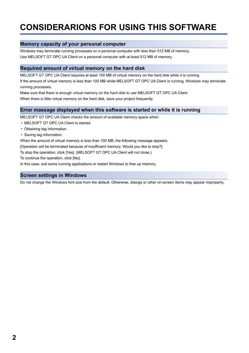# <span id="page-3-0"></span>**CONSIDERARIONS FOR USING THIS SOFTWARE**

## **Memory capacity of your personal computer**

Windows may terminate running processes on a personal computer with less than 512 MB of memory. Use MELSOFT GT OPC UA Client on a personal computer with at least 512 MB of memory.

## **Required amount of virtual memory on the hard disk**

MELSOFT GT OPC UA Client requires at least 100 MB of virtual memory on the hard disk while it is running.

If the amount of virtual memory is less than 100 MB while MELSOFT GT OPC UA Client is running, Windows may terminate running processes.

Make sure that there is enough virtual memory on the hard disk to use MELSOFT GT OPC UA Client.

When there is little virtual memory on the hard disk, save your project frequently.

## **Error massage displayed when this software is started or while it is running**

MELSOFT GT OPC UA Client checks the amount of available memory space when:

- MELSOFT GT OPC UA Client is started.
- Obtaining tag information.
- Saving tag information.

When the amount of virtual memory is less than 100 MB, the following message appears.

[Operation will be terminated because of insufficient memory. Would you like to stop?]

To stop the operation, click [Yes]. (MELSOFT GT OPC UA Client will not close.)

To continue the operation, click [No].

In this case, exit some running applications or restart Windows to free up memory.

### **Screen settings in Windows**

Do not change the Windows font size from the default. Otherwise, dialogs or other on-screen items may appear improperly.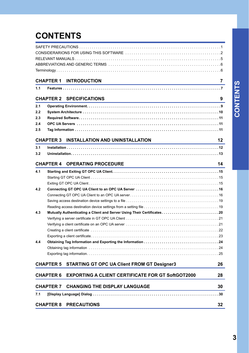# **CONTENTS**

|     | <b>CHAPTER 1 INTRODUCTION</b>                                                                                                                                | 7  |
|-----|--------------------------------------------------------------------------------------------------------------------------------------------------------------|----|
| 1.1 |                                                                                                                                                              |    |
|     | <b>CHAPTER 2 SPECIFICATIONS</b><br>and the control of the control of the control of the control of the control of the control of the control of the          | 9  |
| 2.1 |                                                                                                                                                              |    |
| 2.2 |                                                                                                                                                              |    |
| 2.3 |                                                                                                                                                              |    |
| 2.4 |                                                                                                                                                              |    |
| 2.5 |                                                                                                                                                              |    |
|     | CHAPTER 3 INSTALLATION AND UNINSTALLATION                                                                                                                    | 12 |
| 3.1 |                                                                                                                                                              |    |
| 3.2 |                                                                                                                                                              |    |
|     |                                                                                                                                                              |    |
|     | <b>CHAPTER 4 OPERATING PROCEDURE</b><br><u> 1989 - Antonio Alemania, presidente de la provincia de la provincia de la provincia de la provincia de la pr</u> | 14 |
| 4.1 |                                                                                                                                                              |    |
|     |                                                                                                                                                              |    |
|     |                                                                                                                                                              |    |
| 4.2 |                                                                                                                                                              |    |
|     |                                                                                                                                                              |    |
|     |                                                                                                                                                              |    |
|     |                                                                                                                                                              |    |
| 4.3 | Mutually Authenticating a Client and Server Using Their Certificates20                                                                                       |    |
|     |                                                                                                                                                              |    |
|     |                                                                                                                                                              |    |
|     |                                                                                                                                                              |    |
|     |                                                                                                                                                              |    |
| 4.4 |                                                                                                                                                              |    |
|     |                                                                                                                                                              |    |
|     |                                                                                                                                                              |    |
|     | <b>CHAPTER 5 STARTING GT OPC UA Client FROM GT Designer3</b>                                                                                                 | 26 |
|     | <b>EXPORTING A CLIENT CERTIFICATE FOR GT SoftGOT2000</b><br>CHAPTER 6                                                                                        | 28 |
|     | <b>CHANGING THE DISPLAY LANGUAGE</b><br><b>CHAPTER 7</b>                                                                                                     | 30 |
| 7.1 |                                                                                                                                                              |    |
|     |                                                                                                                                                              |    |
|     | <b>CHAPTER 8 PRECAUTIONS</b>                                                                                                                                 | 32 |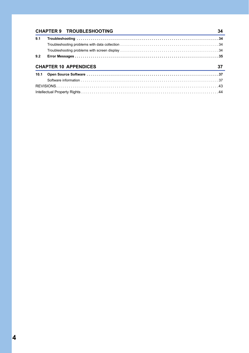|      | <b>CHAPTER 9 TROUBLESHOOTING</b> | 34 |
|------|----------------------------------|----|
| 9.1  |                                  |    |
|      |                                  |    |
|      |                                  |    |
| 9.2  |                                  |    |
|      |                                  |    |
|      | <b>CHAPTER 10 APPENDICES</b>     | 37 |
| 10.1 |                                  |    |
|      |                                  |    |
|      |                                  |    |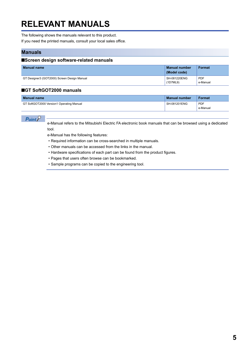# <span id="page-6-0"></span>**RELEVANT MANUALS**

The following shows the manuals relevant to this product.

If you need the printed manuals, consult your local sales office.

### **Manuals**

#### ■**Screen design software-related manuals**

| <b>Manual name</b>                          | <b>Manual number</b><br>(Model code) | Format                 |
|---------------------------------------------|--------------------------------------|------------------------|
| GT Designer3 (GOT2000) Screen Design Manual | SH-081220ENG<br>(1D7ML9)             | <b>PDF</b><br>e-Manual |

### ■**GT SoftGOT2000 manuals**

| <b>Manual name</b>                       | Manual number | Format     |
|------------------------------------------|---------------|------------|
| GT SoftGOT2000 Version1 Operating Manual | SH-081201ENG  | <b>PDF</b> |
|                                          |               | e-Manual   |

 $Point$ 

e-Manual refers to the Mitsubishi Electric FA electronic book manuals that can be browsed using a dedicated tool.

e-Manual has the following features:

- Required information can be cross-searched in multiple manuals.
- Other manuals can be accessed from the links in the manual.
- Hardware specifications of each part can be found from the product figures.
- Pages that users often browse can be bookmarked.
- Sample programs can be copied to the engineering tool.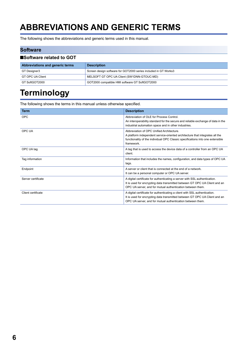# <span id="page-7-0"></span>**ABBREVIATIONS AND GENERIC TERMS**

The following shows the abbreviations and generic terms used in this manual.

#### **Software**

| ■Software related to GOT        |                                                                 |  |
|---------------------------------|-----------------------------------------------------------------|--|
| Abbreviations and generic terms | <b>Description</b>                                              |  |
| GT Designer3                    | Screen design software for GOT2000 series included in GT Works3 |  |
| GT OPC UA Client                | MELSOFT GT OPC UA Client (SW1DNN-GTOUC-MD)                      |  |
| GT SoftGOT2000                  | GOT2000 compatible HMI software GT SoftGOT2000                  |  |

# <span id="page-7-1"></span>**Terminology**

The following shows the terms in this manual unless otherwise specified.

| <b>Term</b>        | <b>Description</b>                                                                                                                                                                                                        |
|--------------------|---------------------------------------------------------------------------------------------------------------------------------------------------------------------------------------------------------------------------|
| <b>OPC</b>         | Abbreviation of OLE for Process Control.<br>An interoperability standard for the secure and reliable exchange of data in the<br>industrial automation space and in other industries.                                      |
| OPC UA             | Abbreviation of OPC Unified Architecture.<br>A platform independent service-oriented architecture that integrates all the<br>functionality of the individual OPC Classic specifications into one extensible<br>framework. |
| OPC UA tag         | A tag that is used to access the device data of a controller from an OPC UA<br>client.                                                                                                                                    |
| Tag information    | Information that includes the names, configuration, and data types of OPC UA<br>tags.                                                                                                                                     |
| Endpoint           | A server or client that is connected at the end of a network.<br>It can be a personal computer or OPC UA server.                                                                                                          |
| Server certificate | A digital certificate for authenticating a server with SSL authentication.<br>It is used for encrypting data transmitted between GT OPC UA Client and an<br>OPC UA server, and for mutual authentication between them.    |
| Client certificate | A digital certificate for authenticating a client with SSL authentication.<br>It is used for encrypting data transmitted between GT OPC UA Client and an<br>OPC UA server, and for mutual authentication between them.    |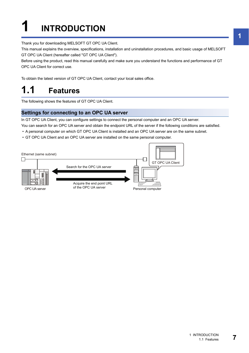# <span id="page-8-0"></span>**1 INTRODUCTION**

Thank you for downloading MELSOFT GT OPC UA Client.

This manual explains the overview, specifications, installation and uninstallation procedures, and basic usage of MELSOFT GT OPC UA Client (hereafter called "GT OPC UA Client").

Before using the product, read this manual carefully and make sure you understand the functions and performance of GT OPC UA Client for correct use.

To obtain the latest version of GT OPC UA Client, contact your local sales office.

# <span id="page-8-1"></span>**1.1 Features**

The following shows the features of GT OPC UA Client.

### **Settings for connecting to an OPC UA server**

In GT OPC UA Client, you can configure settings to connect the personal computer and an OPC UA server.

You can search for an OPC UA server and obtain the endpoint URL of the server if the following conditions are satisfied.

- A personal computer on which GT OPC UA Client is installed and an OPC UA server are on the same subnet.
- GT OPC UA Client and an OPC UA server are installed on the same personal computer.

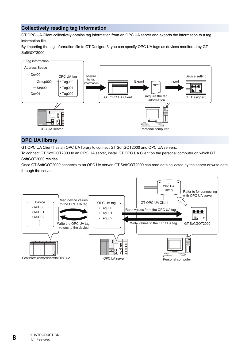## **Collectively reading tag information**

GT OPC UA Client collectively obtains tag information from an OPC UA server and exports the information to a tag information file.

By importing the tag information file to GT Designer3, you can specify OPC UA tags as devices monitored by GT SoftGOT2000.



## **OPC UA library**

GT OPC UA Client has an OPC UA library to connect GT SoftGOT2000 and OPC UA servers.

To connect GT SoftGOT2000 to an OPC UA server, install GT OPC UA Client on the personal computer on which GT SoftGOT2000 resides.

Once GT SoftGOT2000 connects to an OPC UA server, GT SoftGOT2000 can read data collected by the server or write data through the server.

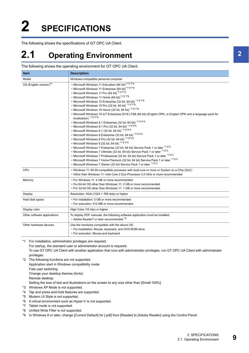# <span id="page-10-0"></span>**2 SPECIFICATIONS**

The following shows the specifications of GT OPC UA Client.

# <span id="page-10-1"></span>**2.1 Operating Environment**

The following shows the operating environment for GT OPC UA Client.

| Item                               | <b>Description</b>                                                                                                                                                                                                                                                                                                                                                                                                                                                                                                                                                                                                                                                                                                                                                                                                                                                                                                                                                                                                                                                                                                                                                                                                                                                                                                            |
|------------------------------------|-------------------------------------------------------------------------------------------------------------------------------------------------------------------------------------------------------------------------------------------------------------------------------------------------------------------------------------------------------------------------------------------------------------------------------------------------------------------------------------------------------------------------------------------------------------------------------------------------------------------------------------------------------------------------------------------------------------------------------------------------------------------------------------------------------------------------------------------------------------------------------------------------------------------------------------------------------------------------------------------------------------------------------------------------------------------------------------------------------------------------------------------------------------------------------------------------------------------------------------------------------------------------------------------------------------------------------|
| Model                              | Windows-compatible personal computer                                                                                                                                                                                                                                                                                                                                                                                                                                                                                                                                                                                                                                                                                                                                                                                                                                                                                                                                                                                                                                                                                                                                                                                                                                                                                          |
| OS (English version) <sup>*6</sup> | • Microsoft Windows 11 Education (64 bit)*1*2*7*8<br>• Microsoft Windows 11 Enterprise (64 bit)*1*2*7*8<br>• Microsoft Windows 11 Pro (64 bit)*1*2*7*8<br>• Microsoft Windows 11 Home (64 bit)*1*2*7*8<br>• Microsoft Windows 10 Enterprise (32 bit, 64 bit) *1*2*7*8<br>• Microsoft Windows 10 Pro (32 bit, 64 bit) *1*2*7*8<br>• Microsoft Windows 10 Home (32 bit, 64 bit) *1*2*7*8<br>. Microsoft Windows 10 IoT Enterprise 2016 LTSB (64 bit) (English OPK, or English OPK and a language pack for<br>localization) <sup>*1*2*7*8</sup><br>• Microsoft Windows 8.1 Enterprise (32 bit, 64 bit) *1*2*4*5<br>• Microsoft Windows 8.1 Pro (32 bit, 64 bit) *1*2*4*5<br>• Microsoft Windows 8.1 (32 bit, 64 bit) *1*2*4*5<br>• Microsoft Windows 8 Enterprise (32 bit, 64 bit) *1*2*4*5<br>• Microsoft Windows 8 Pro (32 bit, 64 bit) *1*2*4*5<br>• Microsoft Windows 8 (32 bit, 64 bit) *1*2*4*5<br>• Microsoft Windows 7 Enterprise (32 bit, 64 bit) Service Pack 1 or later *1*2*3<br>• Microsoft Windows 7 Ultimate (32 bit, 64 bit) Service Pack 1 or later *1*2*3<br>• Microsoft Windows 7 Professional (32 bit, 64 bit) Service Pack 1 or later *1*2*3<br>• Microsoft Windows 7 Home Premium (32 bit, 64 bit) Service Pack 1 or later *1*2*3<br>• Microsoft Windows 7 Starter (32 bit) Service Pack 1 or later *1*2*3 |
| CPU                                | . Windows 11: 64 bit-compatible processor with dual-core or more or System on a Chip (SoC)<br>• Other than Windows 11: Intel Core 2 Duo Processor 2.0 GHz or more recommended                                                                                                                                                                                                                                                                                                                                                                                                                                                                                                                                                                                                                                                                                                                                                                                                                                                                                                                                                                                                                                                                                                                                                 |
| Memory                             | • For Windows 11: 4 GB or more recommended<br>• For 64-bit OS other than Windows 11: 2 GB or more recommended<br>• For 32-bit OS other than Windows 11: 1 GB or more recommended                                                                                                                                                                                                                                                                                                                                                                                                                                                                                                                                                                                                                                                                                                                                                                                                                                                                                                                                                                                                                                                                                                                                              |
| Display                            | Resolution: XGA (1024 × 768 dots) or higher                                                                                                                                                                                                                                                                                                                                                                                                                                                                                                                                                                                                                                                                                                                                                                                                                                                                                                                                                                                                                                                                                                                                                                                                                                                                                   |
| Hard disk space                    | • For installation: 5 GB or more recommended<br>• For execution: 512 MB or more recommended                                                                                                                                                                                                                                                                                                                                                                                                                                                                                                                                                                                                                                                                                                                                                                                                                                                                                                                                                                                                                                                                                                                                                                                                                                   |
| Display color                      | High Color (16 bits) or higher                                                                                                                                                                                                                                                                                                                                                                                                                                                                                                                                                                                                                                                                                                                                                                                                                                                                                                                                                                                                                                                                                                                                                                                                                                                                                                |
| Other software applications        | To display PDF manuals, the following software application must be installed.<br>• Adobe Reader7 or later recommended *9                                                                                                                                                                                                                                                                                                                                                                                                                                                                                                                                                                                                                                                                                                                                                                                                                                                                                                                                                                                                                                                                                                                                                                                                      |
| Other hardware devices             | Use the hardware compatible with the above OS.<br>• For installation: Mouse, keyboard, and DVD-ROM drive<br>• For execution: Mouse and keyboard                                                                                                                                                                                                                                                                                                                                                                                                                                                                                                                                                                                                                                                                                                                                                                                                                                                                                                                                                                                                                                                                                                                                                                               |

\*1 For installation, administrator privileges are required.

For startup, the standard user or administrator account is required.

To use GT OPC UA Client with another application that runs with administrator privileges, run GT OPC UA Client with administrator privileges.

- \*2 The following functions are not supported. Application start in Windows compatibility mode Fast user switching Change your desktop themes (fonts) Remote desktop Setting the size of text and illustrations on the screen to any size other than [Small-100%]
- \*3 Windows XP Mode is not supported.
- \*4 Tap and press-and-hold features are supported.
- \*5 Modern UI Style is not supported.
- \*6 A virtual environment such as Hyper-V is not supported.
- \*7 Tablet mode is not supported.
- \*8 Unified Write Filter is not supported.
- \*9 In Windows 8 or later, change [Current Default] for [.pdf] from [Reader] to [Adobe Reader] using the Control Panel.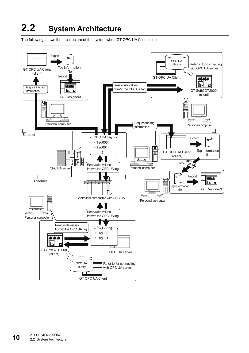# <span id="page-11-0"></span>**2.2 System Architecture**

The following shows the architecture of the system when GT OPC UA Client is used.

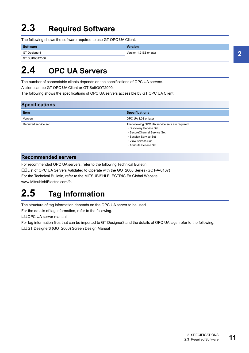# <span id="page-12-0"></span>**2.3 Required Software**

The following shows the software required to use GT OPC UA Client.

| Software       | <b>Version</b>          |
|----------------|-------------------------|
| GT Designer3   | Version 1.215Z or later |
| GT SoftGOT2000 |                         |

# <span id="page-12-1"></span>**2.4 OPC UA Servers**

The number of connectable clients depends on the specifications of OPC UA servers.

A client can be GT OPC UA Client or GT SoftGOT2000.

The following shows the specifications of OPC UA servers accessible by GT OPC UA Client.

| <b>Specifications</b> |                                                                                                                                                                                     |  |
|-----------------------|-------------------------------------------------------------------------------------------------------------------------------------------------------------------------------------|--|
| <b>Item</b>           | <b>Specifications</b>                                                                                                                                                               |  |
| Version               | OPC UA 1.03 or later                                                                                                                                                                |  |
| Required service set  | The following OPC UA service sets are required.<br>• Discovery Service Set<br>• SecureChannel Service Set<br>• Session Service Set<br>• View Service Set<br>• Attribute Service Set |  |

### **Recommended servers**

For recommended OPC UA servers, refer to the following Technical Bulletin.

Laist of OPC UA Servers Validated to Operate with the GOT2000 Series (GOT-A-0137)

For the Technical Bulletin, refer to the MITSUBISHI ELECTRIC FA Global Website.

www.MitsubishiElectric.com/fa

# <span id="page-12-2"></span>**2.5 Tag Information**

The structure of tag information depends on the OPC UA server to be used.

For the details of tag information, refer to the following.

**QJOPC UA server manual** 

For tag information files that can be imported to GT Designer3 and the details of OPC UA tags, refer to the following.

GT Designer3 (GOT2000) Screen Design Manual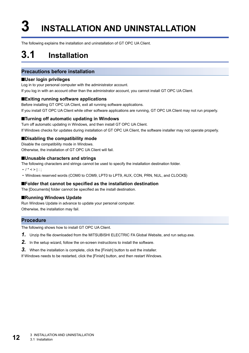# <span id="page-13-2"></span><span id="page-13-0"></span>**3 INSTALLATION AND UNINSTALLATION**

The following explains the installation and uninstallation of GT OPC UA Client.

# <span id="page-13-1"></span>**3.1 Installation**

## **Precautions before installation**

#### ■**User login privileges**

Log in to your personal computer with the administrator account.

If you log in with an account other than the administrator account, you cannot install GT OPC UA Client.

#### ■**Exiting running software applications**

Before installing GT OPC UA Client, exit all running software applications. If you install GT OPC UA Client while other software applications are running, GT OPC UA Client may not run properly.

### ■**Turning off automatic updating in Windows**

Turn off automatic updating in Windows, and then install GT OPC UA Client. If Windows checks for updates during installation of GT OPC UA Client, the software installer may not operate properly.

#### ■**Disabling the compatibility mode**

Disable the compatibility mode in Windows. Otherwise, the installation of GT OPC UA Client will fail.

#### ■**Unusable characters and strings**

The following characters and strings cannot be used to specify the installation destination folder.

•  $/ * < > |$ :;

• Windows reserved words (COM0 to COM9, LPT0 to LPT9, AUX, CON, PRN, NUL, and CLOCK\$)

#### ■**Folder that cannot be specified as the installation destination**

The [Documents] folder cannot be specified as the install destination.

#### ■**Running Windows Update**

Run Windows Update in advance to update your personal computer. Otherwise, the installation may fail.

### **Procedure**

The following shows how to install GT OPC UA Client.

- *1.* Unzip the file downloaded from the MITSUBISHI ELECTRIC FA Global Website, and run setup.exe.
- *2.* In the setup wizard, follow the on-screen instructions to install the software.
- **3.** When the installation is complete, click the [Finish] button to exit the installer.

If Windows needs to be restarted, click the [Finish] button, and then restart Windows.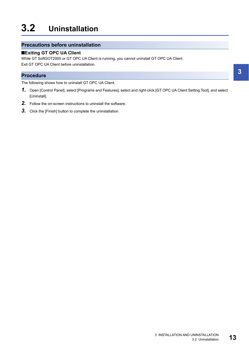# <span id="page-14-0"></span>**3.2 Uninstallation**

## **Precautions before uninstallation**

## ■**Exiting GT OPC UA Client**

While GT SoftGOT2000 or GT OPC UA Client is running, you cannot uninstall GT OPC UA Client. Exit GT OPC UA Client before uninstallation.

## **Procedure**

The following shows how to uninstall GT OPC UA Client.

- *1.* Open [Control Panel], select [Programs and Features], select and right-click [GT OPC UA Client Setting Tool], and select [Uninstall].
- *2.* Follow the on-screen instructions to uninstall the software.
- *3.* Click the [Finish] button to complete the uninstallation.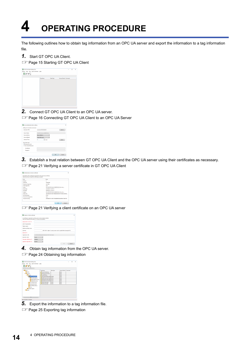# <span id="page-15-0"></span>**4 OPERATING PROCEDURE**

The following outlines how to obtain tag information from an OPC UA server and export the information to a tag information file.

*1.* Start GT OPC UA Client.

Fage 15 Starting GT OPC UA Client



*2.* Connect GT OPC UA Client to an OPC UA server.

Fage 16 Connecting GT OPC UA Client to an OPC UA Server

| Setting of connection and server |                          |              |
|----------------------------------|--------------------------|--------------|
| End point URL:                   | opc.tcp;                 | Search       |
| Server Name:                     |                          |              |
| Security Policy:                 | Basic128Rsa15<br>٠       |              |
| Security Mode:                   | SignAndEncrypt           |              |
| <b>Timeout Time:</b>             | $\frac{1}{2}$ (sec)<br>a | <b>Check</b> |
| User token type                  |                          |              |
| @ Anonymous user                 |                          |              |
| El User name/Password            |                          |              |
| User Name:                       |                          |              |
| Passgord:                        |                          |              |

*3.* Establish a trust relation between GT OPC UA Client and the OPC UA server using their certificates as necessary. Fage 21 Verifying a server certificate in GT OPC UA Client

| The details of the certificate acquired from the server are as follows.<br>Would you like to install this certificate as trusted? |                     |                                                  |
|-----------------------------------------------------------------------------------------------------------------------------------|---------------------|--------------------------------------------------|
| Field                                                                                                                             | Value               |                                                  |
| Verdon                                                                                                                            | k                   |                                                  |
| Sevial No.                                                                                                                        | 50665009            |                                                  |
| Signature Algorithm                                                                                                               | sha1RSA             |                                                  |
| Hash Algorithm                                                                                                                    | sha't               |                                                  |
| <b>Telescope</b>                                                                                                                  | CN-                 | <b>DUstries</b>                                  |
| <b>Start Date</b>                                                                                                                 | 2019/02/15 14:37:13 |                                                  |
| Fod Date                                                                                                                          | 2024/02/14 14:37:13 |                                                  |
| Subject                                                                                                                           | CNH                 | OU-UNL                                           |
| <b>Public Key</b>                                                                                                                 |                     | NORTHROWTH TOOL 29 DAN DOWN COFT CALL HARASSERVE |
| Key Parameters                                                                                                                    | 05.00               |                                                  |
| Thumb Print Algorithm                                                                                                             | sha1                |                                                  |
| <b>Thursb Print Key</b>                                                                                                           |                     | 62DB0AE535136EC72DAARAD0CRA4D005319A81D0         |

Fage 21 Verifying a client certificate on an OPC UA server

| A certificate is required to set the server communication method.<br>Enter the following information. (IT) marks are essential.) |          |                                                                        |  |
|----------------------------------------------------------------------------------------------------------------------------------|----------|------------------------------------------------------------------------|--|
| <b>Organization name (7)</b>                                                                                                     |          |                                                                        |  |
| Unit of organization:                                                                                                            |          |                                                                        |  |
| Region name:                                                                                                                     |          |                                                                        |  |
| Prefecture/State name:                                                                                                           |          |                                                                        |  |
| Country                                                                                                                          |          | (ISO 3166-1 alpha-2 country name code in capital letter (example); JP) |  |
| Domain ("):                                                                                                                      |          |                                                                        |  |
| <b>Application URI:</b>                                                                                                          | um       | <b>GT OPC UA Client</b>                                                |  |
| Expiration date:                                                                                                                 | Syear.   |                                                                        |  |
| Strength of RSA key ("):                                                                                                         | 2048bits |                                                                        |  |
|                                                                                                                                  |          |                                                                        |  |

*4.* Obtain tag information from the OPC UA server. **[Page 24 Obtaining tag information](#page-25-1)** 

| 回グダー                           |                             |           |                                |  |  |
|--------------------------------|-----------------------------|-----------|--------------------------------|--|--|
|                                |                             |           |                                |  |  |
| # Root                         | <b>Tag Name</b>             | Data Type | <b>Access Directic Comment</b> |  |  |
| <b>The Views</b>               | ServerProfileArray          | $\cdots$  | Read                           |  |  |
| <b>A D</b> Objects             | SoftwareCertificates        | $\sim$    | Read                           |  |  |
| 4 Server                       | LocaleidAmay                | $\sim$    | Read                           |  |  |
| <b>Elli</b> ServerCapabilities | MinSupportedSample Double   |           | Read                           |  |  |
| 1 ModellingRules               | MaxBrowseContinuati Ulnt16  |           | Read                           |  |  |
| Aggregatefunctions             | MaxQueryContinuatio Ulnt16  |           | Read                           |  |  |
| CorrationLimits                | MasHistoryContinuati Ulnt16 |           | Read                           |  |  |
| > ServerDiagnostics            | MaxStringLength             | Ulre32    | Read                           |  |  |
| <b>Ill Vandor Canadoto</b>     | MasketayLecoth              | Literaz   | Read                           |  |  |
| ServerRedundancy               |                             |           |                                |  |  |
| <b>Tace</b>                    |                             |           |                                |  |  |
| <b>MAddress Space</b>          |                             |           |                                |  |  |
| <b>Differences</b>             |                             |           |                                |  |  |
|                                |                             |           |                                |  |  |
|                                |                             |           |                                |  |  |
|                                |                             |           |                                |  |  |

*5.* Export the information to a tag information file.

**F** [Page 25 Exporting tag information](#page-26-0)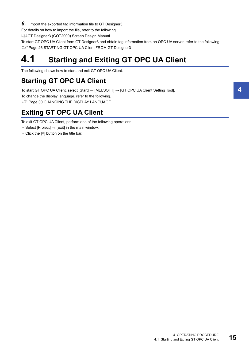*6.* Import the exported tag information file to GT Designer3.

For details on how to import the file, refer to the following.

LaGT Designer3 (GOT2000) Screen Design Manual

To start GT OPC UA Client from GT Designer3 and obtain tag information from an OPC UA server, refer to the following.

**Fage 26 STARTING GT OPC UA Client FROM GT Designer3** 

# <span id="page-16-0"></span>**4.1 Starting and Exiting GT OPC UA Client**

The following shows how to start and exit GT OPC UA Client.

## <span id="page-16-1"></span>**Starting GT OPC UA Client**

To start GT OPC UA Client, select [Start] → [MELSOFT] → [GT OPC UA Client Setting Tool].

To change the display language, refer to the following.

**[Page 30 CHANGING THE DISPLAY LANGUAGE](#page-31-2)** 

# <span id="page-16-2"></span>**Exiting GT OPC UA Client**

To exit GT OPC UA Client, perform one of the following operations.

- Select [Project]  $\rightarrow$  [Exit] in the main window.
- Click the [×] button on the title bar.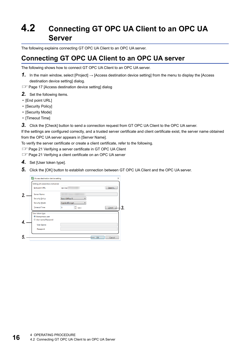# <span id="page-17-2"></span><span id="page-17-0"></span>**4.2 Connecting GT OPC UA Client to an OPC UA Server**

The following explains connecting GT OPC UA Client to an OPC UA server.

## <span id="page-17-1"></span>**Connecting GT OPC UA Client to an OPC UA server**

The following shows how to connect GT OPC UA Client to an OPC UA server.

- *1.* In the main window, select [Project] → [Access destination device setting] from the menu to display the [Access destination device setting] dialog.
- Fage 17 [Access destination device setting] dialog
- *2.* Set the following items.
- [End point URL]
- [Security Policy]
- [Security Mode]
- [Timeout Time]
- **3.** Click the [Check] button to send a connection request from GT OPC UA Client to the OPC UA server.

If the settings are configured correctly, and a trusted server certificate and client certificate exist, the server name obtained from the OPC UA server appears in [Server Name].

To verify the server certificate or create a client certificate, refer to the following.

Fage 21 Verifying a server certificate in GT OPC UA Client

Fage 21 Verifying a client certificate on an OPC UA server

- *4.* Set [User token type].
- **5.** Click the [OK] button to establish connection between GT OPC UA Client and the OPC UA server.

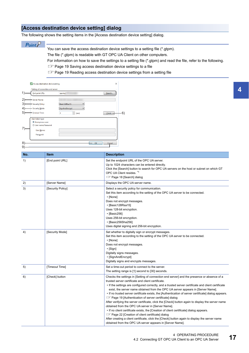## <span id="page-18-1"></span><span id="page-18-0"></span>**[Access destination device setting] dialog**

The following shows the setting items in the [Access destination device setting] dialog.

## $Point<sup>°</sup>$

You can save the access destination device settings to a setting file (\*.gtpm).

The file (\*.gtpm) is readable with GT OPC UA Client on other computers.

For information on how to save the settings to a setting file (\*.gtpm) and read the file, refer to the following.

Fage 19 Saving access destination device settings to a file

Fage 19 Reading access destination device settings from a setting file

| End point URL:              | opc.tcp                                   | Search |
|-----------------------------|-------------------------------------------|--------|
| Server Name:                |                                           |        |
| - Security Policy:          | Basic128Rsa15<br>$\overline{\phantom{a}}$ |        |
| Security Mode:              | SignAndEncrypt                            |        |
| - Timeout Time:             | $\hat{z}$ (sec)<br>3                      | Check  |
| User token type             |                                           |        |
| <sup>O</sup> Anonymous user |                                           |        |
| User name/Password          |                                           |        |
| User Name:                  |                                           |        |
| Password:                   |                                           |        |
|                             |                                           |        |

| No. | <b>Item</b>       | <b>Description</b>                                                                                                                                                                                                                                                                                                                                                                                                                                                                                                                                                                                                                                                                                                                                                                                                                                                                                                                                                                                 |
|-----|-------------------|----------------------------------------------------------------------------------------------------------------------------------------------------------------------------------------------------------------------------------------------------------------------------------------------------------------------------------------------------------------------------------------------------------------------------------------------------------------------------------------------------------------------------------------------------------------------------------------------------------------------------------------------------------------------------------------------------------------------------------------------------------------------------------------------------------------------------------------------------------------------------------------------------------------------------------------------------------------------------------------------------|
| 1)  | [End point URL]   | Set the endpoint URL of the OPC UA server.<br>Up to 1024 characters can be entered directly.<br>Click the [Search] button to search for OPC UA servers on the host or subnet on which GT<br>OPC UA Client resides. *1<br>Fig. Page 18 [Search] dialog                                                                                                                                                                                                                                                                                                                                                                                                                                                                                                                                                                                                                                                                                                                                              |
| 2)  | [Server Name]     | Displays the OPC UA server name.                                                                                                                                                                                                                                                                                                                                                                                                                                                                                                                                                                                                                                                                                                                                                                                                                                                                                                                                                                   |
| 3)  | [Security Policy] | Select a security policy for communication.<br>Set this item according to the setting of the OPC UA server to be connected.<br>• [None]<br>Does not encrypt messages.<br>• [Basic128Rsa15]<br>Uses 128-bit encryption.<br>$\cdot$ [Basic256]<br>Uses 256-bit encryption.<br>• [Basic256Sha256]<br>Uses digital signing and 256-bit encryption.                                                                                                                                                                                                                                                                                                                                                                                                                                                                                                                                                                                                                                                     |
| 4)  | [Security Mode]   | Set whether to digitally sign or encrypt messages.<br>Set this item according to the setting of the OPC UA server to be connected.<br>• [None]<br>Does not encrypt messages.<br>$\cdot$ [Sign]<br>Digitally signs messages.<br>• [SignAndEncrypt]<br>Digitally signs and encrypts messages.                                                                                                                                                                                                                                                                                                                                                                                                                                                                                                                                                                                                                                                                                                        |
| 5)  | [Timeout Time]    | Set a time-out period to connect to the server.<br>The setting range is [1] second to [30] seconds.                                                                                                                                                                                                                                                                                                                                                                                                                                                                                                                                                                                                                                                                                                                                                                                                                                                                                                |
| 6)  | [Check] button    | Checks the settings in [Setting of connection end server] and the presence or absence of a<br>trusted server certificate and client certificate.<br>• If the settings are configured correctly, and a trusted server certificate and client certificate<br>exist, the server name obtained from the OPC UA server appears in [Server Name].<br>• If no trusted server certificate exists, the [Authentication of server certificate] dialog appears.<br><b>Example 19 [Authentication of server certificate] dialog</b><br>After verifying the server certificate, click the [Check] button again to display the server name<br>obtained from the OPC UA server in [Server Name].<br>• If no client certificate exists, the [Creation of client certificate] dialog appears.<br>For Page 22 [Creation of client certificate] dialog<br>After creating a client certificate, click the [Check] button again to display the server name<br>obtained from the OPC UA server appears in [Server Name]. |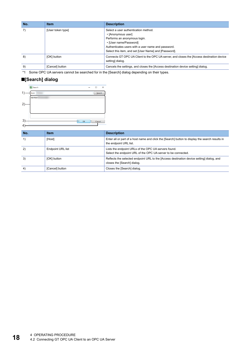| No. | <b>Item</b>       | <b>Description</b>                                                                                                                                                                                                                  |
|-----|-------------------|-------------------------------------------------------------------------------------------------------------------------------------------------------------------------------------------------------------------------------------|
|     | [User token type] | Select a user authentication method.<br>• [Anonymous user]<br>Performs an anonymous login.<br>• [User name/Password]<br>Authenticates users with a user name and password.<br>Select this item, and set [User Name] and [Password]. |
| 8)  | [OK] button       | Connects GT OPC UA Client to the OPC UA server, and closes the [Access destination device<br>setting] dialog.                                                                                                                       |
| 9)  | [Cancel] button   | Cancels the settings, and closes the [Access destination device setting] dialog.                                                                                                                                                    |

\*1 Some OPC UA servers cannot be searched for in the [Search] dialog depending on their types.

## <span id="page-19-0"></span>■**[Search] dialog**

|              | B Search  | -  | $\Box$ | $\times$ |
|--------------|-----------|----|--------|----------|
| $\mathbf{1}$ | Host      |    | Search |          |
|              | opc.tcp:/ |    |        |          |
| 2)           |           |    |        |          |
|              |           |    |        |          |
| 3)           |           |    |        |          |
| 4            |           | OK | Cancel |          |

| No. | <b>Item</b>              | <b>Description</b>                                                                                                        |
|-----|--------------------------|---------------------------------------------------------------------------------------------------------------------------|
|     | [Host]                   | Enter all or part of a host name and click the [Search] button to display the search results in<br>the endpoint URL list. |
| 2)  | <b>Endpoint URL list</b> | Lists the endpoint URLs of the OPC UA servers found.<br>Select the endpoint URL of the OPC UA server to be connected.     |
| 3)  | [OK] button              | Reflects the selected endpoint URL to the [Access destination device setting] dialog, and<br>closes the [Search] dialog.  |
| 4)  | [Cancel] button          | Closes the [Search] dialog.                                                                                               |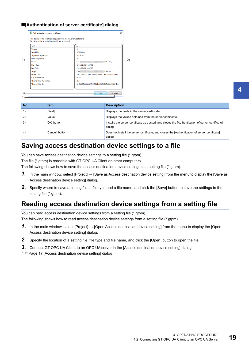## <span id="page-20-2"></span>■**[Authentication of server certificate] dialog**

| Field                        | Value                                     |
|------------------------------|-------------------------------------------|
| Version                      | з                                         |
| Serial No.                   | 5C665009                                  |
| Signature Algorithm          | sha1RSA                                   |
| <b>Hash Algorithm</b>        | sha1                                      |
| <b>Issuer</b>                | $CN =$<br>OU=Unit                         |
| <b>Start Date</b>            | 2019/02/15 14:37:13                       |
| <b>End Date</b>              | 2024/02/14 14:37:13                       |
| Subject                      | $CN =$<br>OU=Unit                         |
| <b>Public Key</b>            | 30818902818100C79D68D2990CDF7CDA03558F850 |
| <b>Key Parameters</b>        | 05.00                                     |
| <b>Thumb Print Algorithm</b> | sha1                                      |
| <b>Thumb Print Key</b>       | 82D80AF535136FC72DAABAD8C8A4D806319A81D0  |

| No. | <b>Item</b>     | <b>Description</b>                                                                                           |
|-----|-----------------|--------------------------------------------------------------------------------------------------------------|
|     | [Field]         | Displays the fields in the server certificate.                                                               |
| 2)  | [Value]         | Displays the values obtained from the server certificate.                                                    |
| 3)  | [OK] button     | Installs the server certificate as trusted, and closes the [Authentication of server certificate]<br>dialog. |
| 4)  | [Cancel] button | Does not install the server certificate, and closes the [Authentication of server certificate]<br>dialog.    |

## <span id="page-20-3"></span><span id="page-20-0"></span>**Saving access destination device settings to a file**

You can save access destination device settings to a setting file (\*.gtpm). The file (\*.gtpm) is readable with GT OPC UA Client on other computers.

The following shows how to save the access destination device settings to a setting file (\*.gtpm).

- *1.* In the main window, select [Project] → [Save as Access destination device setting] from the menu to display the [Save as Access destination device setting] dialog.
- *2.* Specify where to save a setting file, a file type and a file name, and click the [Save] button to save the settings to the setting file (\*.gtpm).

## <span id="page-20-1"></span>**Reading access destination device settings from a setting file**

You can read access destination device settings from a setting file (\*.gtpm). The following shows how to read access destination device settings from a setting file (\*.gtpm).

- 1. In the main window, select [Project] → [Open Access destination device setting] from the menu to display the [Open Access destination device setting] dialog.
- *2.* Specify the location of a setting file, file type and file name, and click the [Open] button to open the file.
- *3.* Connect GT OPC UA Client to an OPC UA server in the [Access destination device setting] dialog.
- Fage 17 [Access destination device setting] dialog

**4**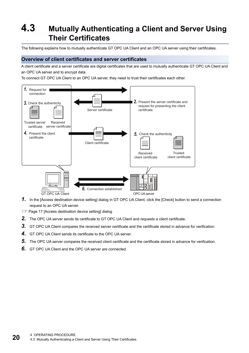# <span id="page-21-0"></span>**4.3 Mutually Authenticating a Client and Server Using Their Certificates**

The following explains how to mutually authenticate GT OPC UA Client and an OPC UA server using their certificates.

## **Overview of client certificates and server certificates**

A client certificate and a server certificate are digital certificates that are used to mutually authenticate GT OPC UA Client and an OPC UA server and to encrypt data.

To connect GT OPC UA Client to an OPC UA server, they need to trust their certificates each other.



- *1.* In the [Access destination device setting] dialog in GT OPC UA Client, click the [Check] button to send a connection request to an OPC UA server.
- Fage 17 [Access destination device setting] dialog
- *2.* The OPC UA server sends its certificate to GT OPC UA Client and requests a client certificate.
- 3. GT OPC UA Client compares the received server certificate and the certificate stored in advance for verification.
- *4.* GT OPC UA Client sends its certificate to the OPC UA server.
- *5.* The OPC UA server compares the received client certificate and the certificate stored in advance for verification.
- *6.* GT OPC UA Client and the OPC UA server are connected.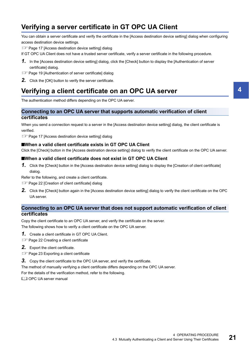## <span id="page-22-2"></span><span id="page-22-0"></span>**Verifying a server certificate in GT OPC UA Client**

You can obtain a server certificate and verify the certificate in the [Access destination device setting] dialog when configuring access destination device settings.

Fage 17 [Access destination device setting] dialog

If GT OPC UA Client does not have a trusted server certificate, verify a server certificate in the following procedure.

- *1.* In the [Access destination device setting] dialog, click the [Check] button to display the [Authentication of server certificate] dialog.
- Fage 19 [Authentication of server certificate] dialog
- <span id="page-22-3"></span>*2.* Click the [OK] button to verify the server certificate.

## <span id="page-22-1"></span>**Verifying a client certificate on an OPC UA server**

The authentication method differs depending on the OPC UA server.

#### **Connecting to an OPC UA server that supports automatic verification of client certificates**

When you send a connection request to a server in the [Access destination device setting] dialog, the client certificate is verified.

**F** [Page 17 \[Access destination device setting\] dialog](#page-18-0)

#### ■**When a valid client certificate exists in GT OPC UA Client**

Click the [Check] button in the [Access destination device setting] dialog to verify the client certificate on the OPC UA server.

#### ■**When a valid client certificate does not exist in GT OPC UA Client**

*1.* Click the [Check] button in the [Access destination device setting] dialog to display the [Creation of client certificate] dialog.

Refer to the following, and create a client certificate.

- **Fage 22 [Creation of client certificate] dialog**
- *2.* Click the [Check] button again in the [Access destination device setting] dialog to verify the client certificate on the OPC UA server.

### **Connecting to an OPC UA server that does not support automatic verification of client certificates**

Copy the client certificate to an OPC UA server, and verify the certificate on the server. The following shows how to verify a client certificate on the OPC UA server.

- *1.* Create a client certificate in GT OPC UA Client.
- **[Page 22 Creating a client certificate](#page-23-0)**
- *2.* Export the client certificate.
- **[Page 23 Exporting a client certificate](#page-24-0)**
- *3.* Copy the client certificate to the OPC UA server, and verify the certificate.

The method of manually verifying a client certificate differs depending on the OPC UA server.

For the details of the verification method, refer to the following.

**CO** OPC UA server manual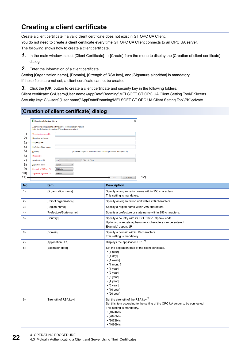# <span id="page-23-2"></span><span id="page-23-0"></span>**Creating a client certificate**

Create a client certificate if a valid client certificate does not exist in GT OPC UA Client.

You do not need to create a client certificate every time GT OPC UA Client connects to an OPC UA server. The following shows how to create a client certificate.

- *1.* In the main window, select [Client Certificate] → [Create] from the menu to display the [Creation of client certificate] dialog.
- *2.* Enter the information of a client certificate.

Setting [Organization name], [Domain], [Strength of RSA key], and [Signature algorithm] is mandatory. If these fields are not set, a client certificate cannot be created.

**3.** Click the [OK] button to create a client certificate and security key in the following folders.

Client certificate: C:\Users\(User name)\AppData\Roaming\MELSOFT GT OPC UA Client Setting Tool\PKI\certs Security key: C:\Users\(User name)\AppData\Roaming\MELSOFT GT OPC UA Client Setting Tool\PKI\private

## <span id="page-23-1"></span>**[Creation of client certificate] dialog**

| Creation of client certificate                                                                                                   |          |                         |                                                                        | $\times$ |
|----------------------------------------------------------------------------------------------------------------------------------|----------|-------------------------|------------------------------------------------------------------------|----------|
| A certificate is required to set the server communication method.<br>Enter the following information. ((*) marks are essential.) |          |                         |                                                                        |          |
| Organization name (*):                                                                                                           |          |                         |                                                                        |          |
| Unit of organization:                                                                                                            |          |                         |                                                                        |          |
| Region name:                                                                                                                     |          |                         |                                                                        |          |
| Prefecture/State name:                                                                                                           |          |                         |                                                                        |          |
| Country:                                                                                                                         |          |                         | (ISO 3166-1 alpha-2 country name code in capital letter (example): JP) |          |
| Domain (*):                                                                                                                      |          |                         |                                                                        |          |
| <b>Application URI:</b>                                                                                                          | urn:     | <b>iT OPC UA Client</b> |                                                                        |          |
| <b>Expiration date:</b>                                                                                                          | 5 year   |                         |                                                                        |          |
| - Strength of RSA key (*):                                                                                                       | 2048bits |                         |                                                                        |          |
| Signature algorithm (*):                                                                                                         | Sha256   |                         |                                                                        |          |
|                                                                                                                                  |          |                         | OK<br>Cancel                                                           |          |

| No. | <b>Item</b>             | <b>Description</b>                                                                                                                                                                                                                                                               |
|-----|-------------------------|----------------------------------------------------------------------------------------------------------------------------------------------------------------------------------------------------------------------------------------------------------------------------------|
| 1)  | [Organization name]     | Specify an organization name within 256 characters.<br>This setting is mandatory.                                                                                                                                                                                                |
| 2)  | [Unit of organization]  | Specify an organization unit within 256 characters.                                                                                                                                                                                                                              |
| 3)  | [Region name]           | Specify a region name within 256 characters.                                                                                                                                                                                                                                     |
| 4)  | [Prefecture/State name] | Specify a prefecture or state name within 256 characters.                                                                                                                                                                                                                        |
| 5)  | [Country]               | Specify a country with its ISO 3166-1 alpha-2 code.<br>Up to two one-byte alphanumeric characters can be entered.<br>Example) Japan: JP                                                                                                                                          |
| 6)  | [Domain]                | Specify a domain within 16 characters.<br>This setting is mandatory.                                                                                                                                                                                                             |
| 7)  | [Application URI]       | Displays the application URI. <sup>*1</sup>                                                                                                                                                                                                                                      |
| 8)  | [Expiration date]       | Set the expiration date of the client certificate.<br>$\cdot$ [1 hour]<br>$\cdot$ [1 day]<br>$\cdot$ [1 week]<br>$\cdot$ [1 month]<br>$\cdot$ [1 year]<br>$\cdot$ [2 year]<br>$\cdot$ [3 year]<br>$\cdot$ [4 year]<br>$\cdot$ [5 year]<br>$\cdot$ [10 year]<br>$\cdot$ [20 year] |
| 9)  | [Strength of RSA key]   | Set the strength of the RSA key. <sup>*2</sup><br>Set this item according to the setting of the OPC UA server to be connected.<br>This setting is mandatory.<br>$\cdot$ [1024bits]<br>$\cdot$ [2048bits]<br>$\cdot$ [3072bits]<br>$\cdot$ [4096bits]                             |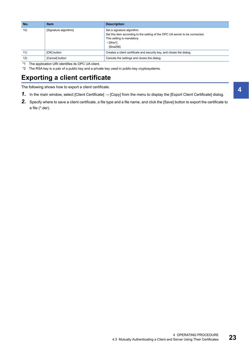| No. | <b>Item</b>           | <b>Description</b>                                                                                                                                                     |
|-----|-----------------------|------------------------------------------------------------------------------------------------------------------------------------------------------------------------|
| 10) | [Signature algorithm] | Set a signature algorithm.<br>Set this item according to the setting of the OPC UA server to be connected.<br>This setting is mandatory.<br>$\cdot$ [Sha1]<br>[Sha256] |
| 11) | [OK] button           | Creates a client certificate and security key, and closes the dialog.                                                                                                  |
| 12) | [Cancel] button       | Cancels the settings and closes the dialog.                                                                                                                            |

\*1 The application URI identifies its OPC UA client.

\*2 The RSA key is a pair of a public key and a private key used in public-key cryptosystems.

## <span id="page-24-0"></span>**Exporting a client certificate**

The following shows how to export a client certificate.

- *1.* In the main window, select [Client Certificate] → [Copy] from the menu to display the [Export Client Certificate] dialog.
- *2.* Specify where to save a client certificate, a file type and a file name, and click the [Save] button to export the certificate to a file (\*.der).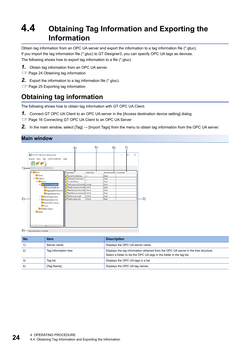# <span id="page-25-3"></span><span id="page-25-0"></span>**4.4 Obtaining Tag Information and Exporting the Information**

Obtain tag information from an OPC UA server and export the information to a tag information file (\*.gtuc). If you import the tag information file (\*.gtuc) to GT Designer3, you can specify OPC UA tags as devices. The following shows how to export tag information to a file (\*.gtuc).

- *1.* Obtain tag information from an OPC UA server.
- **[Page 24 Obtaining tag information](#page-25-1)**
- *2.* Export the information to a tag information file (\*.gtuc).

<span id="page-25-2"></span>**F** [Page 25 Exporting tag information](#page-26-0)

# <span id="page-25-1"></span>**Obtaining tag information**

The following shows how to obtain tag information with GT OPC UA Client.

- **1.** Connect GT OPC UA Client to an OPC UA server in the [Access destination device setting] dialog.
- Fage 16 Connecting GT OPC UA Client to an OPC UA Server

*2.* In the main window, select [Tag] → [Import Tags] from the menu to obtain tag information from the OPC UA server.

## **Main window**



8) Tag acquisition complete

| No.          | <b>Item</b>          | <b>Description</b>                                                                                                                                            |
|--------------|----------------------|---------------------------------------------------------------------------------------------------------------------------------------------------------------|
|              | Server name          | Displays the OPC UA server name.                                                                                                                              |
| $\mathbf{2}$ | Tag information tree | Displays the tag information obtained from the OPC UA server in the tree structure.<br>Select a folder to list the OPC UA tags in the folder in the tag list. |
| 3)           | Tag list             | Displays the OPC UA tags in a list.                                                                                                                           |
| 4)           | [Tag Name]           | Displays the OPC UA tag names.                                                                                                                                |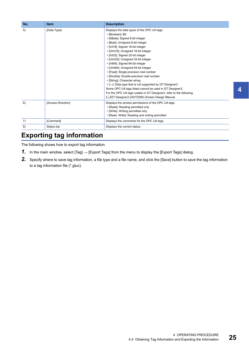| No. | <b>Item</b>        | <b>Description</b>                                                                                                                                                                                                                                                                                                                                                                                                                                                                                                                                                                                                                                                                                                                            |
|-----|--------------------|-----------------------------------------------------------------------------------------------------------------------------------------------------------------------------------------------------------------------------------------------------------------------------------------------------------------------------------------------------------------------------------------------------------------------------------------------------------------------------------------------------------------------------------------------------------------------------------------------------------------------------------------------------------------------------------------------------------------------------------------------|
| 5)  | [Data Type]        | Displays the data types of the OPC UA tags.<br>• [Boolean]: Bit<br>• [SByte]: Signed 8-bit integer<br>• [Byte]: Unsigned 8-bit integer<br>• [Int16]: Signed 16-bit integer<br>• [UInt16]: Unsigned 16-bit integer<br>• [Int32]: Signed 32-bit integer<br>• [UInt32]: Unsigned 32-bit integer<br>• [Int64]: Signed 64-bit integer<br>• [UInt64]: Unsigned 64-bit integer<br>• [Float]: Single-precision real number<br>• [Double]: Double-precision real number<br>• [String]: Character string<br>. [---]: Data type that is not supported by GT Designer3<br>Some OPC UA tags listed cannot be used in GT Designer3.<br>For the OPC UA tags usable in GT Designer3, refer to the following.<br>LaGT Designer3 (GOT2000) Screen Design Manual |
| 6)  | [Access Direction] | Displays the access permissions of the OPC UA tags.<br>• [Read]: Reading permitted only<br>• [Write]: Writing permitted only<br>• [Read, Write]: Reading and writing permitted                                                                                                                                                                                                                                                                                                                                                                                                                                                                                                                                                                |
| 7)  | [Comment]          | Displays the comments for the OPC UA tags.                                                                                                                                                                                                                                                                                                                                                                                                                                                                                                                                                                                                                                                                                                    |
| 8)  | Status bar         | Displays the current status.                                                                                                                                                                                                                                                                                                                                                                                                                                                                                                                                                                                                                                                                                                                  |

## <span id="page-26-1"></span><span id="page-26-0"></span>**Exporting tag information**

The following shows how to export tag information.

- **1.** In the main window, select [Tag]  $\rightarrow$  [Export Tags] from the menu to display the [Export Tags] dialog.
- *2.* Specify where to save tag information, a file type and a file name, and click the [Save] button to save the tag information to a tag information file (\*.gtuc).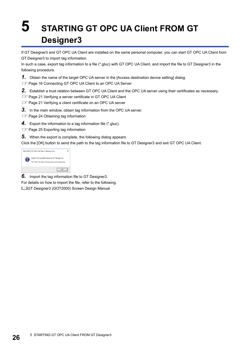# <span id="page-27-1"></span><span id="page-27-0"></span>**5 STARTING GT OPC UA Client FROM GT Designer3**

If GT Designer3 and GT OPC UA Client are installed on the same personal computer, you can start GT OPC UA Client from GT Designer3 to import tag information.

In such a case, export tag information to a file (\*.gtuc) with GT OPC UA Client, and import the file to GT Designer3 in the following procedure.

**1.** Obtain the name of the target OPC UA server in the [Access destination device setting] dialog.

Fage 16 Connecting GT OPC UA Client to an OPC UA Server

*2.* Establish a trust relation between GT OPC UA Client and the OPC UA server using their certificates as necessary.

Fage 21 Verifying a server certificate in GT OPC UA Client

Fage 21 Verifying a client certificate on an OPC UA server

*3.* In the main window, obtain tag information from the OPC UA server.

**F** [Page 24 Obtaining tag information](#page-25-2)

*4.* Export the information to a tag information file (\*.gtuc).

**F** [Page 25 Exporting tag information](#page-26-1)

*5.* When the export is complete, the following dialog appears.

Click the [OK] button to send the path to the tag information file to GT Designer3 and exit GT OPC UA Client.

| <b>MELSOFT GT OPC UA Client Setting Tool</b>                                                  |  |
|-----------------------------------------------------------------------------------------------|--|
| Import the tag information in GT Designer3.<br>*GT OPC UA Client Setting Tool will terminate. |  |
|                                                                                               |  |

*6.* Import the tag information file to GT Designer3.

For details on how to import the file, refer to the following.

GT Designer3 (GOT2000) Screen Design Manual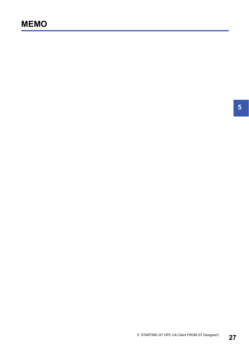**5**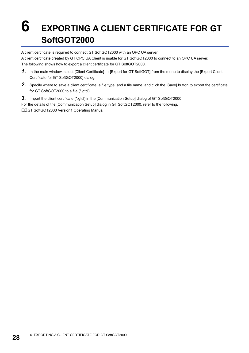# <span id="page-29-0"></span>**6 EXPORTING A CLIENT CERTIFICATE FOR GT SoftGOT2000**

A client certificate is required to connect GT SoftGOT2000 with an OPC UA server.

A client certificate created by GT OPC UA Client is usable for GT SoftGOT2000 to connect to an OPC UA server. The following shows how to export a client certificate for GT SoftGOT2000.

- *1.* In the main window, select [Client Certificate] → [Export for GT SoftGOT] from the menu to display the [Export Client Certificate for GT SoftGOT2000] dialog.
- *2.* Specify where to save a client certificate, a file type, and a file name, and click the [Save] button to export the certificate for GT SoftGOT2000 to a file (\*.gtcl).
- **3.** Import the client certificate (\*.gtcl) in the [Communication Setup] dialog of GT SoftGOT2000.

For the details of the [Communication Setup] dialog in GT SoftGOT2000, refer to the following.

GT SoftGOT2000 Version1 Operating Manual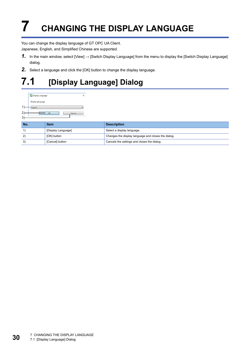# <span id="page-31-2"></span><span id="page-31-0"></span>**7 CHANGING THE DISPLAY LANGUAGE**

You can change the display language of GT OPC UA Client. Japanese, English, and Simplified Chinese are supported.

- *1.* In the main window, select [View] → [Switch Display Language] from the menu to display the [Switch Display Language] dialog.
- *2.* Select a language and click the [OK] button to change the display language.

# <span id="page-31-1"></span>**7.1 [Display Language] Dialog**

|   | Display Language |        |  |
|---|------------------|--------|--|
|   | Display Language |        |  |
| 1 | English          |        |  |
| 2 | n۷               | Cancel |  |
| 3 |                  |        |  |

| No. | <b>Item</b>        | <b>Description</b>                                  |
|-----|--------------------|-----------------------------------------------------|
|     | [Display Language] | Select a display language.                          |
| 21  | [OK] button        | Changes the display language and closes the dialog. |
| 3)  | [Cancel] button    | Cancels the settings and closes the dialog.         |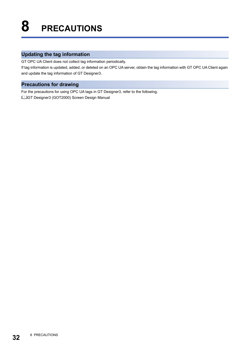## <span id="page-33-0"></span>**Updating the tag information**

GT OPC UA Client does not collect tag information periodically.

If tag information is updated, added, or deleted on an OPC UA server, obtain the tag information with GT OPC UA Client again and update the tag information of GT Designer3.

## **Precautions for drawing**

For the precautions for using OPC UA tags in GT Designer3, refer to the following. LaGT Designer3 (GOT2000) Screen Design Manual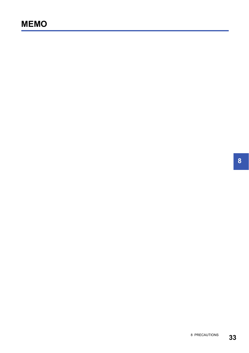**8**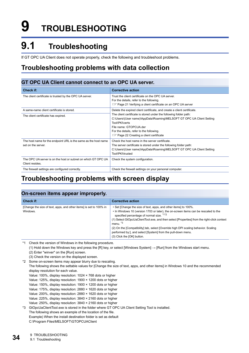# <span id="page-35-0"></span>**9 TROUBLESHOOTING**

# <span id="page-35-1"></span>**9.1 Troubleshooting**

If GT OPC UA Client does not operate properly, check the following and troubleshoot problems.

# <span id="page-35-2"></span>**Troubleshooting problems with data collection**

## <span id="page-35-4"></span>**GT OPC UA Client cannot connect to an OPC UA server.**

| <b>Check if:</b>                                                                     | <b>Corrective action</b>                                                                                                                                                                                                                                                              |
|--------------------------------------------------------------------------------------|---------------------------------------------------------------------------------------------------------------------------------------------------------------------------------------------------------------------------------------------------------------------------------------|
| The client certificate is trusted by the OPC UA server.                              | Trust the client certificate on the OPC UA server.<br>For the details, refer to the following.                                                                                                                                                                                        |
|                                                                                      | <b>Example 21 Verifying a client certificate on an OPC UA server</b>                                                                                                                                                                                                                  |
| A same-name client certificate is stored.                                            | Delete the expired client certificate, and create a client certificate.                                                                                                                                                                                                               |
| The client certificate has expired.                                                  | The client certificate is stored under the following folder path:<br>C:\Users\(User name)\AppData\Roaming\MELSOFT GT OPC UA Client Setting<br>Tool\PKI\certs<br>File name: GTOPCUA.der<br>For the details, refer to the following.<br><b>Example 22 Creating a client certificate</b> |
| The host name for the endpoint URL is the same as the host name<br>set on the server | Check the host name in the server certificate.<br>The server certificate is stored under the following folder path:<br>C:\Users\(User name)\AppData\Roaming\MELSOFT GT OPC UA Client Setting<br>Tool\PKI\trusted                                                                      |
| The OPC UA server is on the host or subnet on which GT OPC UA<br>Client resides.     | Check the system configuration.                                                                                                                                                                                                                                                       |
| The firewall settings are configured correctly.                                      | Check the firewall settings on your personal computer.                                                                                                                                                                                                                                |

## <span id="page-35-3"></span>**Troubleshooting problems with screen display**

### **On-screen items appear improperly.**

| Check if:                                                                      | <b>Corrective action</b>                                                                                                                                                                                                                                                                                                                                                                                                                                                                                       |
|--------------------------------------------------------------------------------|----------------------------------------------------------------------------------------------------------------------------------------------------------------------------------------------------------------------------------------------------------------------------------------------------------------------------------------------------------------------------------------------------------------------------------------------------------------------------------------------------------------|
| [Change the size of text, apps, and other items] is set to 100% in<br>Windows. | • Set [Change the size of text, apps, and other items] to 100%.<br>• In Windows 10 (version 1703 or later), the on-screen items can be rescaled to the<br>specified percentage of normal size. *1*2<br>(1) Select GtOpcUaClientTool.exe, and then select [Properties] from the right-click context<br>menu. <sup>*3</sup><br>(2) On the [Compatibility] tab, select [Override high DPI scaling behavior. Scaling<br>performed by:], and select [System] from the pull-down menu.<br>(3) Click the [OK] button. |

\*1 Check the version of Windows in the following procedure.

(1) Hold down the Windows key and press the [R] key, or select [Windows System] → [Run] from the Windows start menu.

(2) Enter "winver" on the [Run] screen.

(3) Check the version on the displayed screen.

- \*2 Some on-screen items may appear blurry due to rescaling.
- The following shows the settable values for [Change the size of text, apps, and other items] in Windows 10 and the recommended display resolution for each value.
	- Value: 100%, display resolution: 1024 × 768 dots or higher
	- Value: 125%, display resolution: 1900 × 1200 dots or higher
	- Value: 150%, display resolution: 1900 × 1200 dots or higher
	- Value: 175%, display resolution: 2880 × 1620 dots or higher
	- Value: 200%, display resolution: 2880 × 1620 dots or higher
	- Value: 225%, display resolution: 3840 × 2160 dots or higher
- Value: 250%, display resolution: 3840 × 2160 dots or higher
- \*3 GtOpcUaClientTool.exe is stored in the folder where GT OPC UA Client Setting Tool is installed.
	- The following shows an example of the location of the file.

Example) When the install destination folder is set as default

C:\Program Files\MELSOFT\GTOPCUAClient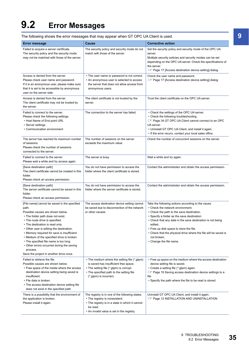# <span id="page-36-0"></span>**9.2 Error Messages**

The following shows the error messages that may appear when GT OPC UA Client is used.

| <b>Error message</b>                                                                                                                                                                                                                                                                                                                                                                                                                                                                        | Cause                                                                                                                                                                                                  | <b>Corrective action</b>                                                                                                                                                                                                                                                                                                                                                                                            |
|---------------------------------------------------------------------------------------------------------------------------------------------------------------------------------------------------------------------------------------------------------------------------------------------------------------------------------------------------------------------------------------------------------------------------------------------------------------------------------------------|--------------------------------------------------------------------------------------------------------------------------------------------------------------------------------------------------------|---------------------------------------------------------------------------------------------------------------------------------------------------------------------------------------------------------------------------------------------------------------------------------------------------------------------------------------------------------------------------------------------------------------------|
| Failed to acquire a server certificate.<br>The security policy and the security mode<br>may not be matched with those of the server.                                                                                                                                                                                                                                                                                                                                                        | The security policy and security mode do not<br>match with those of the server.                                                                                                                        | Set the security policy and security mode of the OPC UA<br>server.<br>Multiple security policies and security modes can be set<br>depending on the OPC UA server. Check the specifications of<br>the server.<br>ि Page 17 [Access destination device setting] dialog                                                                                                                                                |
| Access is denied from the server.<br>Please check user name and password.<br>If it is an anonymous user, please make sure<br>that it is set to be accessible by anonymous<br>user on the server side.                                                                                                                                                                                                                                                                                       | • The user name or password is not correct.<br>• An anonymous user is selected to access<br>the server that does not allow access from<br>anonymous users.                                             | Check the user name and password.<br>Fage 17 [Access destination device setting] dialog                                                                                                                                                                                                                                                                                                                             |
| Access is denied from the server.<br>The client certificate may not be trusted by<br>the server.                                                                                                                                                                                                                                                                                                                                                                                            | The client certificate is not trusted by the<br>server.                                                                                                                                                | Trust the client certificate on the OPC UA server.                                                                                                                                                                                                                                                                                                                                                                  |
| Failed to connect to the server.<br>Please check the following settings.<br>• Host Name of End point URL<br>• Server settings<br>• Communication environment                                                                                                                                                                                                                                                                                                                                | The connection to the server has failed.                                                                                                                                                               | • Check the settings of the OPC UA server.<br>• Check the following troubleshooting.<br>For Page 34 GT OPC UA Client cannot connect to an OPC<br>UA server.<br>• Uninstall GT OPC UA Client, and install it again.<br>. If the error recurs, contact your local sales office.                                                                                                                                       |
| The server has reached its maximum number<br>of sessions.<br>Please check the number of sessions<br>connected to the server.                                                                                                                                                                                                                                                                                                                                                                | The number of sessions on the server<br>exceeds the maximum value.                                                                                                                                     | Check the number of concurrent sessions on the server.                                                                                                                                                                                                                                                                                                                                                              |
| Failed to connect to the server.<br>Please wait a while and try access again.                                                                                                                                                                                                                                                                                                                                                                                                               | The server is busy.                                                                                                                                                                                    | Wait a while and try again.                                                                                                                                                                                                                                                                                                                                                                                         |
| [Save destination path]<br>The client certificate cannot be created in this<br>folder.<br>Please check an access permission.                                                                                                                                                                                                                                                                                                                                                                | You do not have permission to access the<br>folder where the client certificate is stored.                                                                                                             | Contact the administrator and obtain the access permission.                                                                                                                                                                                                                                                                                                                                                         |
| [Save destination path]<br>The server certificate cannot be saved in this<br>folder.<br>Please check an access permission.                                                                                                                                                                                                                                                                                                                                                                  | You do not have permission to access the<br>folder where the server certificate is stored.                                                                                                             | Contact the administrator and obtain the access permission.                                                                                                                                                                                                                                                                                                                                                         |
| [File name] cannot be saved in the specified<br>path.<br>Possible causes are shown below.<br>• The folder path does not exist.<br>• The route drive is specified.<br>• The destination is read only.<br>• Other user is editing the destination.<br>• Memory required for save is insufficient.<br>• Medium of the specified drive is broken.<br>• The specified file name is too long.<br>• Other errors occurred during the saving<br>process.<br>Save the project in another drive once. | The access destination device setting cannot<br>be saved due to disconnection of the network<br>or other causes.                                                                                       | Take the following actions according to the cause.<br>• Check the network environment.<br>• Check the path to the save destination.<br>• Specify a folder as the save destination.<br>• Check that any data in the save destination is not being<br>edited.<br>• Free up disk space to store the file.<br>• Check that the physical drive where the file will be saved is<br>not broken.<br>• Change the file name. |
| Failed to retrieve the file.<br>Possible causes are shown below.<br>• Free space of the media where the access<br>destination device setting being saved is<br>insufficient.<br>• File data is broken.<br>• The access destination device setting file<br>does not exist in the specified path.                                                                                                                                                                                             | • The medium where the setting file (*.gtpm)<br>is saved has insufficient free space.<br>• The setting file (*.gtpm) is corrupt.<br>• The specified path to the setting file<br>(*.gtpm) is incorrect. | • Free up space on the medium where the access destination<br>device setting file is saved.<br>• Create a setting file (*.gtpm) again.<br><b>Example 19 Saving access destination device settings to a</b><br>file<br>• Specify the path where the file to be read is stored.                                                                                                                                       |
| There is a possibility that the environment of<br>the application is broken.<br>Please install it again.                                                                                                                                                                                                                                                                                                                                                                                    | The registry is in one of the following states.<br>• The registry is nonexistent.<br>• The registry is in a state in which it cannot<br>be read.<br>• An invalid value is set in the registry.         | Uninstall GT OPC UA Client, and install it again.<br>ি Page 12 INSTALLATION AND UNINSTALLATION                                                                                                                                                                                                                                                                                                                      |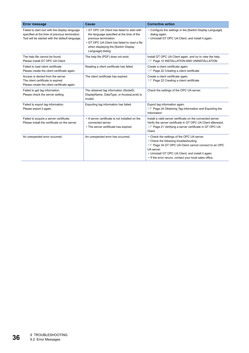| <b>Error message</b>                                                                                                                                | <b>Cause</b>                                                                                                                                                                                                                  | <b>Corrective action</b>                                                                                                                                                                                                                                                      |
|-----------------------------------------------------------------------------------------------------------------------------------------------------|-------------------------------------------------------------------------------------------------------------------------------------------------------------------------------------------------------------------------------|-------------------------------------------------------------------------------------------------------------------------------------------------------------------------------------------------------------------------------------------------------------------------------|
| Failed to start tool with the display language<br>specified at the time of previous termination.<br>Tool will be started with the default language. | • GT OPC UA Client has failed to start with<br>the language specified at the time of the<br>previous termination.<br>• GT OPC UA Client has failed to read a file<br>when displaying the [Switch Display<br>Language] dialog. | • Configure the settings in the [Switch Display Language]<br>dialog again.<br>• Uninstall GT OPC UA Client, and install it again.                                                                                                                                             |
| The help file cannot be found.<br>Please install GT OPC UA Client.                                                                                  | The help file (PDF) does not exist.                                                                                                                                                                                           | Install GT OPC UA Client again, and try to view the help.<br><b>EF Page 12 INSTALLATION AND UNINSTALLATION</b>                                                                                                                                                                |
| Failed to load client certificate.<br>Please create the client certificate again.                                                                   | Reading a client certificate has failed.                                                                                                                                                                                      | Create a client certificate again.<br>Page 22 Creating a client certificate                                                                                                                                                                                                   |
| Access is denied from the server.<br>The client certificate is expired.<br>Please create the client certificate again.                              | The client certificate has expired.                                                                                                                                                                                           | Create a client certificate again.<br>Page 22 Creating a client certificate                                                                                                                                                                                                   |
| Failed to get tag information.<br>Please check the server setting.                                                                                  | The obtained tag information (NodeID,<br>DisplayName, DataType, or AccessLevel) is<br>invalid.                                                                                                                                | Check the settings of the OPC UA server.                                                                                                                                                                                                                                      |
| Failed to export tag information.<br>Please export it again.                                                                                        | Exporting tag information has failed.                                                                                                                                                                                         | Export tag information again.<br><b>Exporting the Page 24 Obtaining Tag Information and Exporting the</b><br>Information                                                                                                                                                      |
| Failed to acquire a server certificate.<br>Please install the certificate on the server.                                                            | • A server certificate is not installed on the<br>connected server.<br>• The server certificate has expired.                                                                                                                  | Install a valid server certificate on the connected server.<br>Verify the server certificate in GT OPC UA Client afterward.<br>For Page 21 Verifying a server certificate in GT OPC UA<br>Client                                                                              |
| An unexpected error occurred.                                                                                                                       | An unexpected error has occurred.                                                                                                                                                                                             | • Check the settings of the OPC UA server.<br>• Check the following troubleshooting.<br>For Page 34 GT OPC UA Client cannot connect to an OPC<br>UA server.<br>• Uninstall GT OPC UA Client, and install it again.<br>• If the error recurs, contact your local sales office. |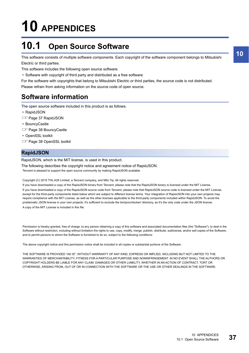# <span id="page-38-0"></span>**10 APPENDICES**

# <span id="page-38-1"></span>**10.1 Open Source Software**

This software consists of multiple software components. Each copyright of the software component belongs to Mitsubishi Electric or third parties.

This software includes the following open source software.

• Software with copyright of third party and distributed as a free software

For the software with copyrights that belong to Mitsubishi Electric or third parties, the source code is not distributed. Please refrain from asking information on the source code of open source.

# <span id="page-38-2"></span>**Software information**

The open source software included in this product is as follows.

- RapidJSON
- **F** [Page 37 RapidJSON](#page-38-3)
- BouncyCastle
- **F** [Page 38 BouncyCastle](#page-39-0)
- OpenSSL toolkit
- **F** [Page 38 OpenSSL toolkit](#page-39-1)

## <span id="page-38-3"></span>**RapidJSON**

RapidJSON, which is the MIT license, is used in this product.

The following describes the copyright notice and agreement notice of RapidJSON.

Tencent is pleased to support the open source community by making RapidJSON available.

Copyright (C) 2015 THL A29 Limited, a Tencent company, and Milo Yip. All rights reserved.

If you have downloaded a copy of the RapidJSON binary from Tencent, please note that the RapidJSON binary is licensed under the MIT License. If you have downloaded a copy of the RapidJSON source code from Tencent, please note that RapidJSON source code is licensed under the MIT License, except for the third-party components listed below which are subject to different license terms. Your integration of RapidJSON into your own projects may require compliance with the MIT License, as well as the other licenses applicable to the third-party components included within RapidJSON. To avoid the problematic JSON license in your own projects, it's sufficient to exclude the bin/jsonchecker/ directory, as it's the only code under the JSON license. A copy of the MIT License is included in this file.

Permission is hereby granted, free of charge, to any person obtaining a copy of this software and associated documentation files (the "Software"), to deal in the Software without restriction, including without limitation the rights to use, copy, modify, merge, publish, distribute, sublicense, and/or sell copies of the Software, and to permit persons to whom the Software is furnished to do so, subject to the following conditions:

The above copyright notice and this permission notice shall be included in all copies or substantial portions of the Software.

THE SOFTWARE IS PROVIDED "AS IS", WITHOUT WARRANTY OF ANY KIND, EXPRESS OR IMPLIED, INCLUDING BUT NOT LIMITED TO THE WARRANTIES OF MERCHANTABILITY, FITNESS FOR A PARTICULAR PURPOSE AND NONINFRINGEMENT. IN NO EVENT SHALL THE AUTHORS OR COPYRIGHT HOLDERS BE LIABLE FOR ANY CLAIM, DAMAGES OR OTHER LIABILITY, WHETHER IN AN ACTION OF CONTRACT, TORT OR OTHERWISE, ARISING FROM, OUT OF OR IN CONNECTION WITH THE SOFTWARE OR THE USE OR OTHER DEALINGS IN THE SOFTWARE.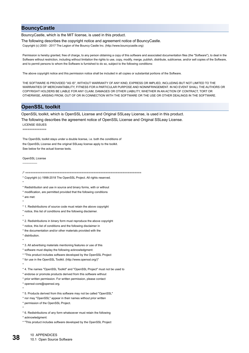#### <span id="page-39-0"></span>**BouncyCastle**

BouncyCastle, which is the MIT license, is used in this product.

The following describes the copyright notice and agreement notice of BouncyCastle.

Copyright (c) 2000 - 2017 The Legion of the Bouncy Castle Inc. (http://www.bouncycastle.org)

Permission is hereby granted, free of charge, to any person obtaining a copy of this software and associated documentation files (the "Software"), to deal in the Software without restriction, including without limitation the rights to use, copy, modify, merge, publish, distribute, sublicense, and/or sell copies of the Software, and to permit persons to whom the Software is furnished to do so, subject to the following conditions:

The above copyright notice and this permission notice shall be included in all copies or substantial portions of the Software.

THE SOFTWARE IS PROVIDED "AS IS", WITHOUT WARRANTY OF ANY KIND, EXPRESS OR IMPLIED, INCLUDING BUT NOT LIMITED TO THE WARRANTIES OF MERCHANTABILITY, FITNESS FOR A PARTICULAR PURPOSE AND NONINFRINGEMENT. IN NO EVENT SHALL THE AUTHORS OR COPYRIGHT HOLDERS BE LIABLE FOR ANY CLAIM, DAMAGES OR OTHER LIABILITY, WHETHER IN AN ACTION OF CONTRACT, TORT OR OTHERWISE, ARISING FROM, OUT OF OR IN CONNECTION WITH THE SOFTWARE OR THE USE OR OTHER DEALINGS IN THE SOFTWARE.

## <span id="page-39-1"></span>**OpenSSL toolkit**

OpenSSL toolkit, which is OpenSSL License and Original SSLeay License, is used in this product.

The following describes the agreement notice of OpenSSL License and Original SSLeay License.

LICENSE ISSUES ==============

**38** <sup>10</sup> APPENDICES<br>**38** 10.1 Open Source Software The OpenSSL toolkit stays under a double license, i.e. both the conditions of the OpenSSL License and the original SSLeay license apply to the toolkit. See below for the actual license texts. OpenSSL License /\* ==================================================================== \* Copyright (c) 1998-2018 The OpenSSL Project. All rights reserved. \* \* Redistribution and use in source and binary forms, with or without \* modification, are permitted provided that the following conditions \* are met: \* \* 1. Redistributions of source code must retain the above copyright \* notice, this list of conditions and the following disclaimer. \* \* 2. Redistributions in binary form must reproduce the above copyright \* notice, this list of conditions and the following disclaimer in \* the documentation and/or other materials provided with the \* distribution. \* \* 3. All advertising materials mentioning features or use of this \* software must display the following acknowledgment: \* "This product includes software developed by the OpenSSL Project \* for use in the OpenSSL Toolkit. (http://www.openssl.org/)" \* \* 4. The names "OpenSSL Toolkit" and "OpenSSL Project" must not be used to \* endorse or promote products derived from this software without \* prior written permission. For written permission, please contact \* openssl-core@openssl.org. \* \* 5. Products derived from this software may not be called "OpenSSL" \* nor may "OpenSSL" appear in their names without prior written \* permission of the OpenSSL Project. \* \* 6. Redistributions of any form whatsoever must retain the following \* acknowledgment: \* "This product includes software developed by the OpenSSL Project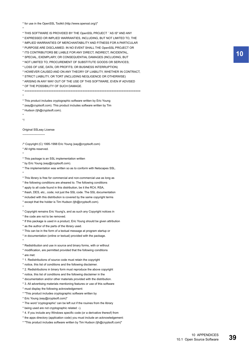\* for use in the OpenSSL Toolkit (http://www.openssl.org/)"

\* THIS SOFTWARE IS PROVIDED BY THE OpenSSL PROJECT ``AS IS'' AND ANY

\* EXPRESSED OR IMPLIED WARRANTIES, INCLUDING, BUT NOT LIMITED TO, THE

\* IMPLIED WARRANTIES OF MERCHANTABILITY AND FITNESS FOR A PARTICULAR

\* PURPOSE ARE DISCLAIMED. IN NO EVENT SHALL THE OpenSSL PROJECT OR

\* ITS CONTRIBUTORS BE LIABLE FOR ANY DIRECT, INDIRECT, INCIDENTAL,

\* SPECIAL, EXEMPLARY, OR CONSEQUENTIAL DAMAGES (INCLUDING, BUT

\* NOT LIMITED TO, PROCUREMENT OF SUBSTITUTE GOODS OR SERVICES;

\* LOSS OF USE, DATA, OR PROFITS; OR BUSINESS INTERRUPTION)

\* HOWEVER CAUSED AND ON ANY THEORY OF LIABILITY, WHETHER IN CONTRACT,

\* STRICT LIABILITY, OR TORT (INCLUDING NEGLIGENCE OR OTHERWISE)

\* ARISING IN ANY WAY OUT OF THE USE OF THIS SOFTWARE, EVEN IF ADVISED

\* OF THE POSSIBILITY OF SUCH DAMAGE.

\* ====================================================================

\* This product includes cryptographic software written by Eric Young

\* (eay@cryptsoft.com). This product includes software written by Tim

\* Hudson (tjh@cryptsoft.com).

\*

\*

\*

\*/

\*

Original SSLeay License

-----------------------

/\* Copyright (C) 1995-1998 Eric Young (eay@cryptsoft.com)

\* All rights reserved.

\* This package is an SSL implementation written

\* by Eric Young (eay@cryptsoft.com).

\* The implementation was written so as to conform with Netscapes SSL.

\* \* This library is free for commercial and non-commercial use as long as

\* the following conditions are aheared to. The following conditions \* apply to all code found in this distribution, be it the RC4, RSA,

\* lhash, DES, etc., code; not just the SSL code. The SSL documentation

\* included with this distribution is covered by the same copyright terms \* except that the holder is Tim Hudson (tjh@cryptsoft.com).

\*

\* Copyright remains Eric Young's, and as such any Copyright notices in \* the code are not to be removed.

\* If this package is used in a product, Eric Young should be given attribution

\* as the author of the parts of the library used.

\* This can be in the form of a textual message at program startup or

\* in documentation (online or textual) provided with the package.

\*

\* Redistribution and use in source and binary forms, with or without \* modification, are permitted provided that the following conditions

\* are met:

\* 1. Redistributions of source code must retain the copyright

\* notice, this list of conditions and the following disclaimer.

\* 2. Redistributions in binary form must reproduce the above copyright

\* notice, this list of conditions and the following disclaimer in the

\* documentation and/or other materials provided with the distribution.

\* 3. All advertising materials mentioning features or use of this software

\* must display the following acknowledgement:

\* "This product includes cryptographic software written by

\* Eric Young (eay@cryptsoft.com)"

\* The word 'cryptographic' can be left out if the rouines from the library

\* being used are not cryptographic related :-).

\* 4. If you include any Windows specific code (or a derivative thereof) from

\* the apps directory (application code) you must include an acknowledgement:

\* "This product includes software written by Tim Hudson (tjh@cryptsoft.com)"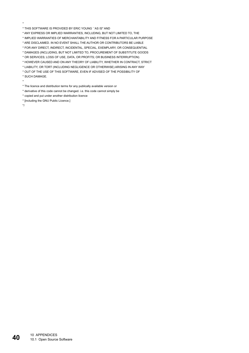- \*
- \* THIS SOFTWARE IS PROVIDED BY ERIC YOUNG ``AS IS'' AND

\* ANY EXPRESS OR IMPLIED WARRANTIES, INCLUDING, BUT NOT LIMITED TO, THE

- \* IMPLIED WARRANTIES OF MERCHANTABILITY AND FITNESS FOR A PARTICULAR PURPOSE
- \* ARE DISCLAIMED. IN NO EVENT SHALL THE AUTHOR OR CONTRIBUTORS BE LIABLE
- \* FOR ANY DIRECT, INDIRECT, INCIDENTAL, SPECIAL, EXEMPLARY, OR CONSEQUENTIAL
- \* DAMAGES (INCLUDING, BUT NOT LIMITED TO, PROCUREMENT OF SUBSTITUTE GOODS
- \* OR SERVICES; LOSS OF USE, DATA, OR PROFITS; OR BUSINESS INTERRUPTION)
- \* HOWEVER CAUSED AND ON ANY THEORY OF LIABILITY, WHETHER IN CONTRACT, STRICT
- \* LIABILITY, OR TORT (INCLUDING NEGLIGENCE OR OTHERWISE) ARISING IN ANY WAY
- \* OUT OF THE USE OF THIS SOFTWARE, EVEN IF ADVISED OF THE POSSIBILITY OF
- \* SUCH DAMAGE.

\*

- \* The licence and distribution terms for any publically available version or
- \* derivative of this code cannot be changed. i.e. this code cannot simply be
- \* copied and put under another distribution licence
- \* [including the GNU Public Licence.]

\*/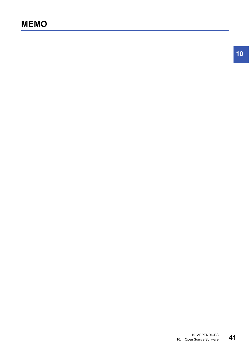**10**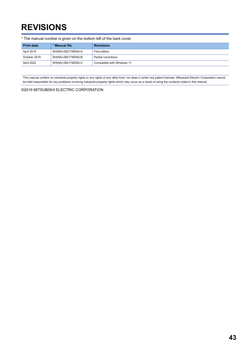# <span id="page-44-0"></span>**REVISIONS**

| * The manual number is given on the bottom left of the back cover. |                    |                            |
|--------------------------------------------------------------------|--------------------|----------------------------|
| <b>Print date</b>                                                  | * Manual No.       | <b>Revisions</b>           |
| April 2019                                                         | SH(NA)-082174ENG-A | First edition              |
| October 2019                                                       | SH(NA)-082174ENG-B | Partial corrections        |
| April 2022                                                         | SH(NA)-082174ENG-C | Compatible with Windows 11 |

<span id="page-44-1"></span>This manual confers no industrial property rights or any rights of any other kind, nor does it confer any patent licenses. Mitsubishi Electric Corporation cannot be held responsible for any problems involving industrial property rights which may occur as a result of using the contents noted in this manual.

©2019 MITSUBISHI ELECTRIC CORPORATION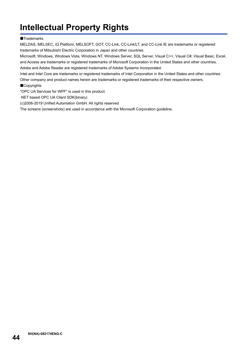# <span id="page-45-0"></span>**Intellectual Property Rights**

#### **Trademarks**

MELDAS, MELSEC, iQ Platform, MELSOFT, GOT, CC-Link, CC-Link/LT, and CC-Link IE are trademarks or registered trademarks of Mitsubishi Electric Corporation in Japan and other countries.

Microsoft, Windows, Windows Vista, Windows NT, Windows Server, SQL Server, Visual C++, Visual C#, Visual Basic, Excel, and Access are trademarks or registered trademarks of Microsoft Corporation in the United States and other countries. Adobe and Adobe Reader are registered trademarks of Adobe Systems Incorporated.

Intel and Intel Core are trademarks or registered trademarks of Intel Corporation in the United States and other countries.

Other company and product names herein are trademarks or registered trademarks of their respective owners.

■Copyrights

"OPC UA Services for WPF" is used in this product.

.NET based OPC UA Client SDK(binary)

(c)2006-2019 Unified Automation GmbH. All rights reserved

The screens (screenshots) are used in accordance with the Microsoft Corporation guideline.